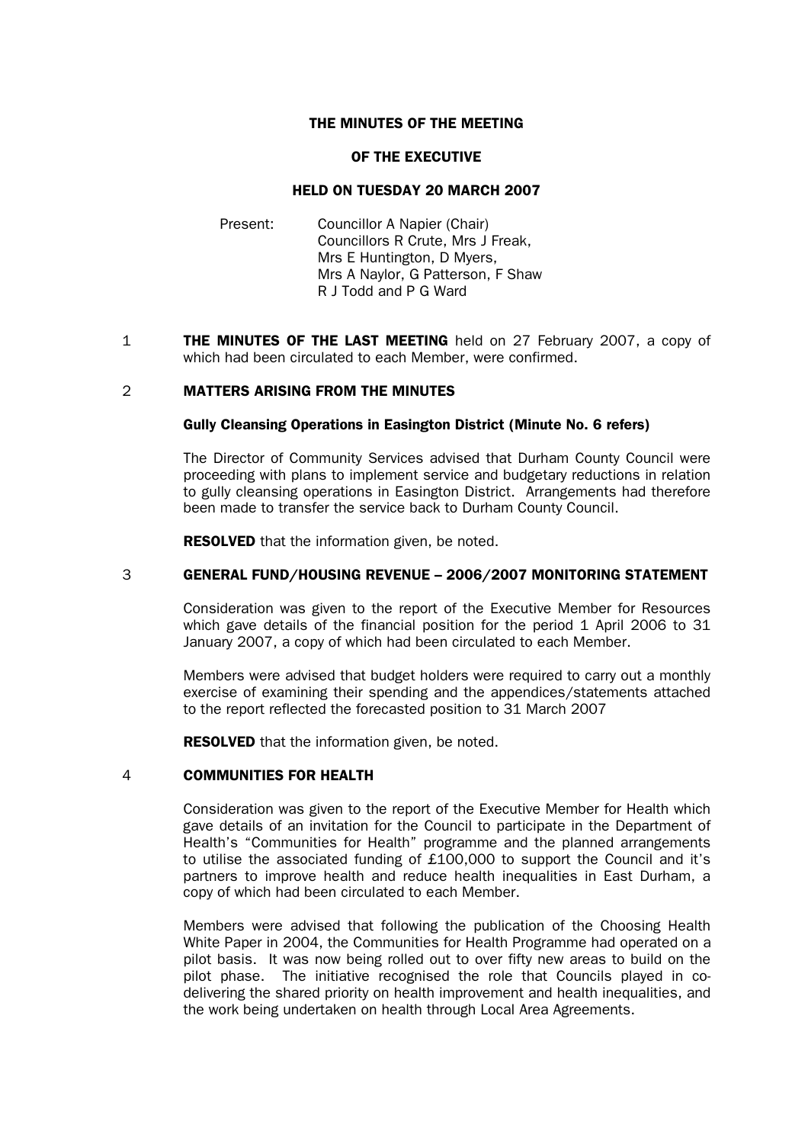### THE MINUTES OF THE MEETING

#### OF THE EXECUTIVE

### HELD ON TUESDAY 20 MARCH 2007

- Present: Councillor A Napier (Chair) Councillors R Crute, Mrs J Freak, Mrs E Huntington, D Myers, Mrs A Naylor, G Patterson, F Shaw R J Todd and P G Ward
- 1 **THE MINUTES OF THE LAST MEETING** held on 27 February 2007, a copy of which had been circulated to each Member, were confirmed.

#### 2 MATTERS ARISING FROM THE MINUTES

#### Gully Cleansing Operations in Easington District (Minute No. 6 refers)

 The Director of Community Services advised that Durham County Council were proceeding with plans to implement service and budgetary reductions in relation to gully cleansing operations in Easington District. Arrangements had therefore been made to transfer the service back to Durham County Council.

**RESOLVED** that the information given, be noted.

#### 3 GENERAL FUND/HOUSING REVENUE – 2006/2007 MONITORING STATEMENT

Consideration was given to the report of the Executive Member for Resources which gave details of the financial position for the period 1 April 2006 to 31 January 2007, a copy of which had been circulated to each Member.

Members were advised that budget holders were required to carry out a monthly exercise of examining their spending and the appendices/statements attached to the report reflected the forecasted position to 31 March 2007

**RESOLVED** that the information given, be noted.

#### 4 COMMUNITIES FOR HEALTH

 Consideration was given to the report of the Executive Member for Health which gave details of an invitation for the Council to participate in the Department of Health's "Communities for Health" programme and the planned arrangements to utilise the associated funding of £100,000 to support the Council and it's partners to improve health and reduce health inequalities in East Durham, a copy of which had been circulated to each Member.

Members were advised that following the publication of the Choosing Health White Paper in 2004, the Communities for Health Programme had operated on a pilot basis. It was now being rolled out to over fifty new areas to build on the pilot phase. The initiative recognised the role that Councils played in codelivering the shared priority on health improvement and health inequalities, and the work being undertaken on health through Local Area Agreements.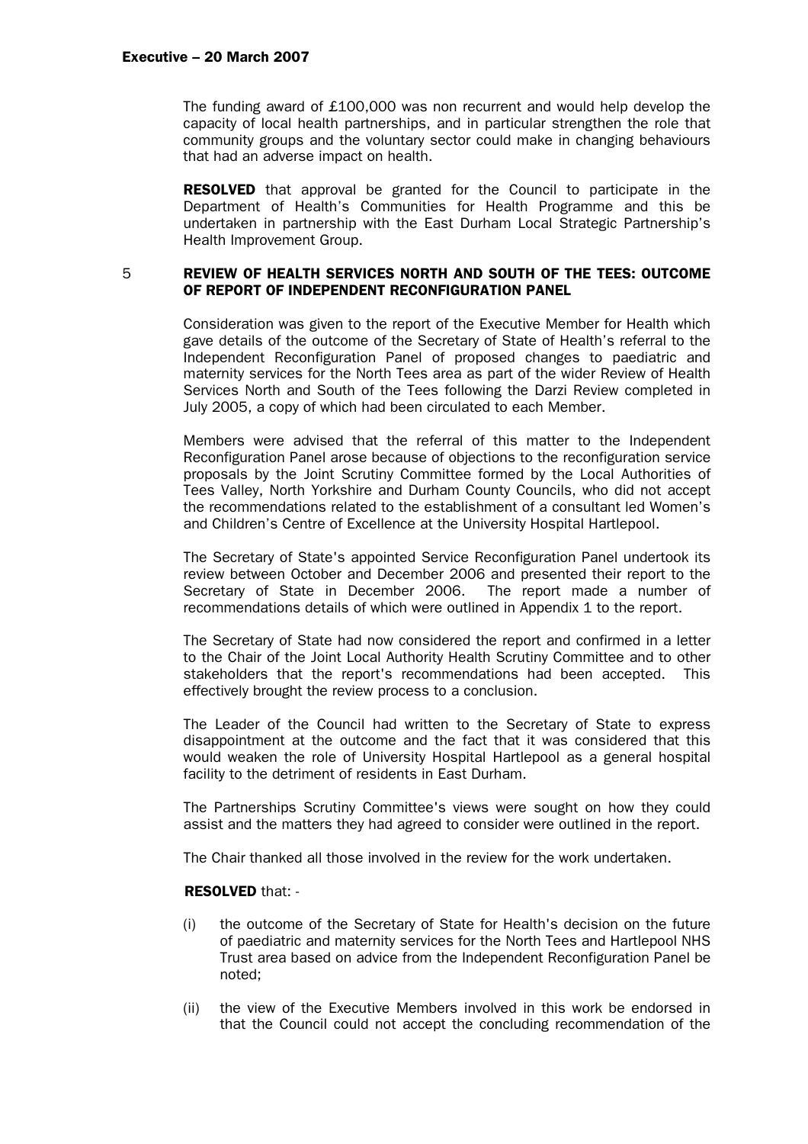The funding award of £100,000 was non recurrent and would help develop the capacity of local health partnerships, and in particular strengthen the role that community groups and the voluntary sector could make in changing behaviours that had an adverse impact on health.

RESOLVED that approval be granted for the Council to participate in the Department of Health's Communities for Health Programme and this be undertaken in partnership with the East Durham Local Strategic Partnership's Health Improvement Group.

#### 5 REVIEW OF HEALTH SERVICES NORTH AND SOUTH OF THE TEES: OUTCOME OF REPORT OF INDEPENDENT RECONFIGURATION PANEL

 Consideration was given to the report of the Executive Member for Health which gave details of the outcome of the Secretary of State of Health's referral to the Independent Reconfiguration Panel of proposed changes to paediatric and maternity services for the North Tees area as part of the wider Review of Health Services North and South of the Tees following the Darzi Review completed in July 2005, a copy of which had been circulated to each Member.

 Members were advised that the referral of this matter to the Independent Reconfiguration Panel arose because of objections to the reconfiguration service proposals by the Joint Scrutiny Committee formed by the Local Authorities of Tees Valley, North Yorkshire and Durham County Councils, who did not accept the recommendations related to the establishment of a consultant led Women's and Children's Centre of Excellence at the University Hospital Hartlepool.

 The Secretary of State's appointed Service Reconfiguration Panel undertook its review between October and December 2006 and presented their report to the Secretary of State in December 2006. The report made a number of recommendations details of which were outlined in Appendix 1 to the report.

 The Secretary of State had now considered the report and confirmed in a letter to the Chair of the Joint Local Authority Health Scrutiny Committee and to other stakeholders that the report's recommendations had been accepted. This effectively brought the review process to a conclusion.

 The Leader of the Council had written to the Secretary of State to express disappointment at the outcome and the fact that it was considered that this would weaken the role of University Hospital Hartlepool as a general hospital facility to the detriment of residents in East Durham.

 The Partnerships Scrutiny Committee's views were sought on how they could assist and the matters they had agreed to consider were outlined in the report.

The Chair thanked all those involved in the review for the work undertaken.

#### RESOLVED that: -

- (i) the outcome of the Secretary of State for Health's decision on the future of paediatric and maternity services for the North Tees and Hartlepool NHS Trust area based on advice from the Independent Reconfiguration Panel be noted;
- (ii) the view of the Executive Members involved in this work be endorsed in that the Council could not accept the concluding recommendation of the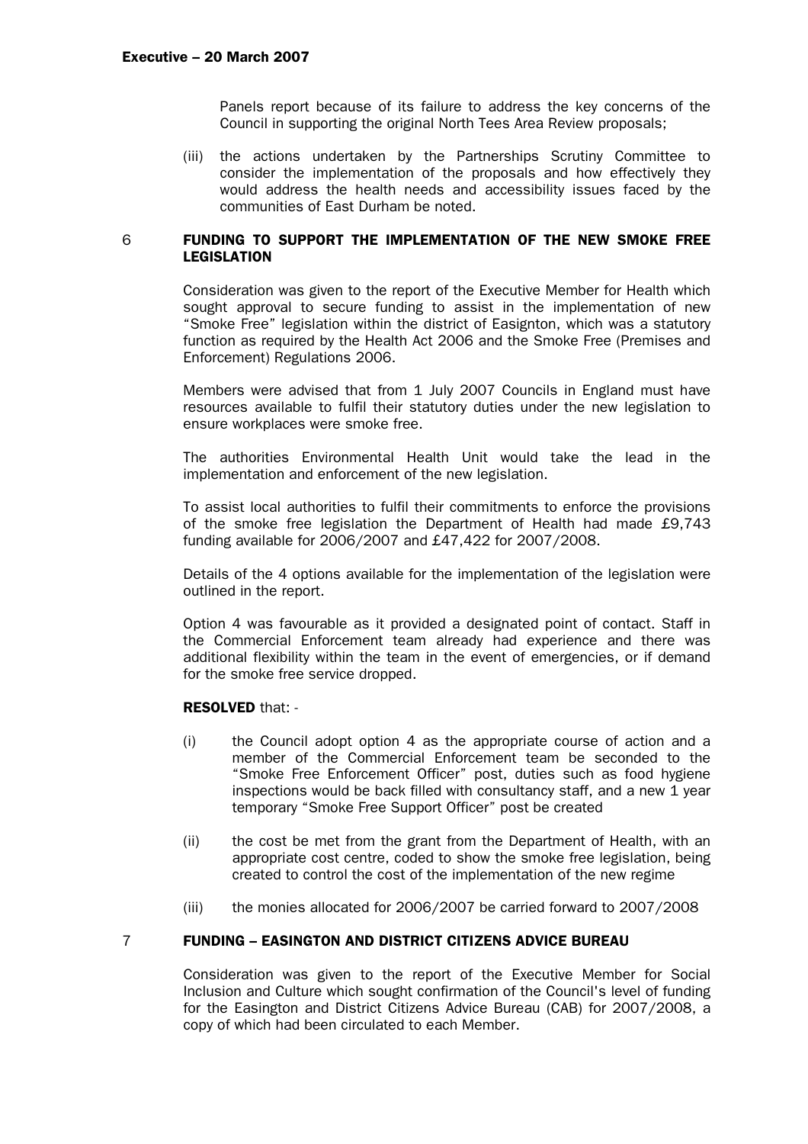Panels report because of its failure to address the key concerns of the Council in supporting the original North Tees Area Review proposals;

(iii) the actions undertaken by the Partnerships Scrutiny Committee to consider the implementation of the proposals and how effectively they would address the health needs and accessibility issues faced by the communities of East Durham be noted.

#### 6 FUNDING TO SUPPORT THE IMPLEMENTATION OF THE NEW SMOKE FREE LEGISLATION

Consideration was given to the report of the Executive Member for Health which sought approval to secure funding to assist in the implementation of new "Smoke Free" legislation within the district of Easignton, which was a statutory function as required by the Health Act 2006 and the Smoke Free (Premises and Enforcement) Regulations 2006.

Members were advised that from 1 July 2007 Councils in England must have resources available to fulfil their statutory duties under the new legislation to ensure workplaces were smoke free.

The authorities Environmental Health Unit would take the lead in the implementation and enforcement of the new legislation.

To assist local authorities to fulfil their commitments to enforce the provisions of the smoke free legislation the Department of Health had made £9,743 funding available for 2006/2007 and £47,422 for 2007/2008.

Details of the 4 options available for the implementation of the legislation were outlined in the report.

Option 4 was favourable as it provided a designated point of contact. Staff in the Commercial Enforcement team already had experience and there was additional flexibility within the team in the event of emergencies, or if demand for the smoke free service dropped.

# RESOLVED that: -

- (i) the Council adopt option 4 as the appropriate course of action and a member of the Commercial Enforcement team be seconded to the "Smoke Free Enforcement Officer" post, duties such as food hygiene inspections would be back filled with consultancy staff, and a new 1 year temporary "Smoke Free Support Officer" post be created
- (ii) the cost be met from the grant from the Department of Health, with an appropriate cost centre, coded to show the smoke free legislation, being created to control the cost of the implementation of the new regime
- (iii) the monies allocated for 2006/2007 be carried forward to 2007/2008

# 7 FUNDING – EASINGTON AND DISTRICT CITIZENS ADVICE BUREAU

Consideration was given to the report of the Executive Member for Social Inclusion and Culture which sought confirmation of the Council's level of funding for the Easington and District Citizens Advice Bureau (CAB) for 2007/2008, a copy of which had been circulated to each Member.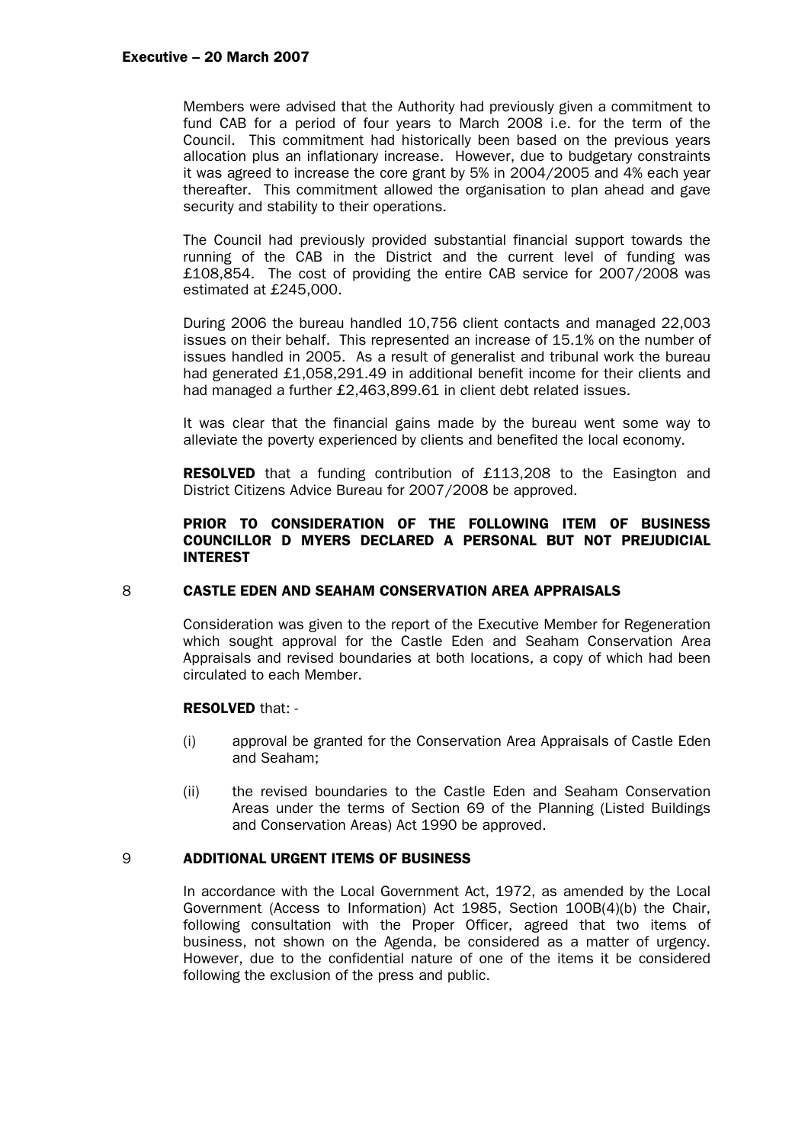#### Executive – 20 March 2007

Members were advised that the Authority had previously given a commitment to fund CAB for a period of four years to March 2008 i.e. for the term of the Council. This commitment had historically been based on the previous years allocation plus an inflationary increase. However, due to budgetary constraints it was agreed to increase the core grant by 5% in 2004/2005 and 4% each year thereafter. This commitment allowed the organisation to plan ahead and gave security and stability to their operations.

The Council had previously provided substantial financial support towards the running of the CAB in the District and the current level of funding was £108,854. The cost of providing the entire CAB service for 2007/2008 was estimated at £245,000.

During 2006 the bureau handled 10,756 client contacts and managed 22,003 issues on their behalf. This represented an increase of 15.1% on the number of issues handled in 2005. As a result of generalist and tribunal work the bureau had generated £1,058,291.49 in additional benefit income for their clients and had managed a further £2,463,899.61 in client debt related issues.

It was clear that the financial gains made by the bureau went some way to alleviate the poverty experienced by clients and benefited the local economy.

**RESOLVED** that a funding contribution of £113,208 to the Easington and District Citizens Advice Bureau for 2007/2008 be approved.

# PRIOR TO CONSIDERATION OF THE FOLLOWING ITEM OF BUSINESS COUNCILLOR D MYERS DECLARED A PERSONAL BUT NOT PREJUDICIAL **INTEREST**

# 8 CASTLE EDEN AND SEAHAM CONSERVATION AREA APPRAISALS

Consideration was given to the report of the Executive Member for Regeneration which sought approval for the Castle Eden and Seaham Conservation Area Appraisals and revised boundaries at both locations, a copy of which had been circulated to each Member.

# RESOLVED that: -

- (i) approval be granted for the Conservation Area Appraisals of Castle Eden and Seaham;
- (ii) the revised boundaries to the Castle Eden and Seaham Conservation Areas under the terms of Section 69 of the Planning (Listed Buildings and Conservation Areas) Act 1990 be approved.

# 9 ADDITIONAL URGENT ITEMS OF BUSINESS

In accordance with the Local Government Act, 1972, as amended by the Local Government (Access to Information) Act 1985, Section 100B(4)(b) the Chair, following consultation with the Proper Officer, agreed that two items of business, not shown on the Agenda, be considered as a matter of urgency. However, due to the confidential nature of one of the items it be considered following the exclusion of the press and public.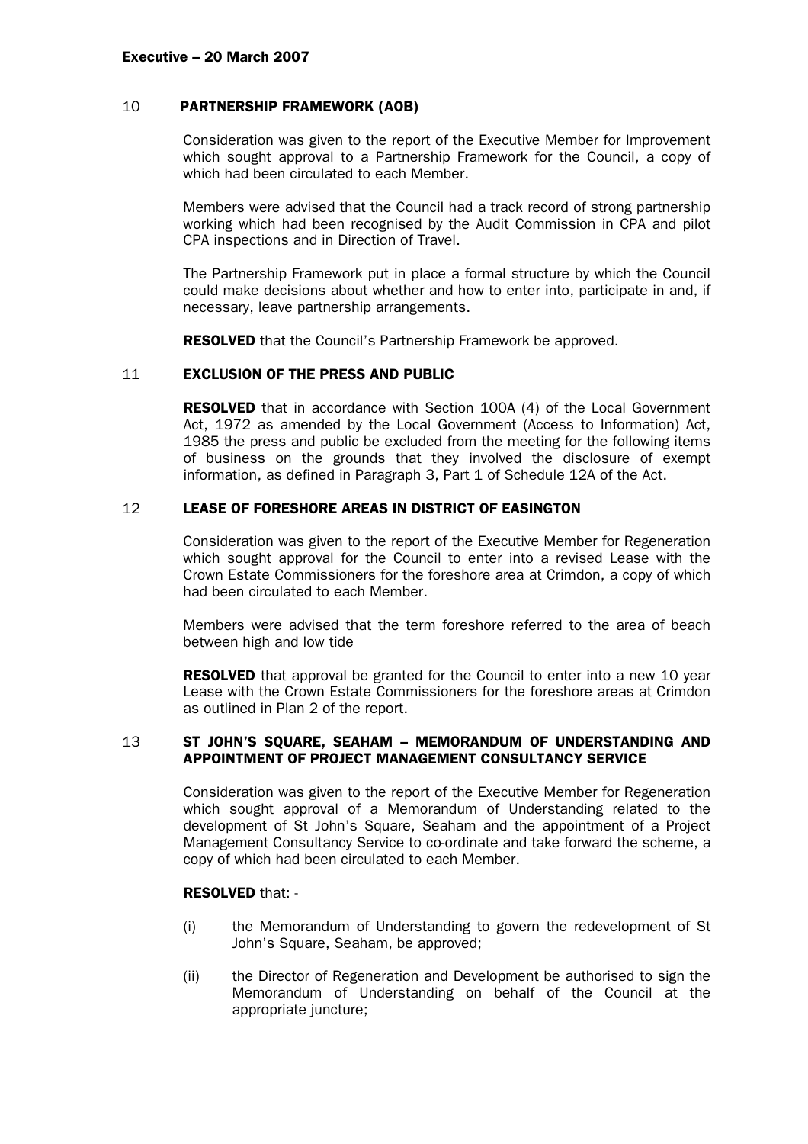### 10 PARTNERSHIP FRAMEWORK (AOB)

Consideration was given to the report of the Executive Member for Improvement which sought approval to a Partnership Framework for the Council, a copy of which had been circulated to each Member.

Members were advised that the Council had a track record of strong partnership working which had been recognised by the Audit Commission in CPA and pilot CPA inspections and in Direction of Travel.

The Partnership Framework put in place a formal structure by which the Council could make decisions about whether and how to enter into, participate in and, if necessary, leave partnership arrangements.

**RESOLVED** that the Council's Partnership Framework be approved.

# 11 EXCLUSION OF THE PRESS AND PUBLIC

**RESOLVED** that in accordance with Section 100A (4) of the Local Government Act, 1972 as amended by the Local Government (Access to Information) Act, 1985 the press and public be excluded from the meeting for the following items of business on the grounds that they involved the disclosure of exempt information, as defined in Paragraph 3, Part 1 of Schedule 12A of the Act.

# 12 LEASE OF FORESHORE AREAS IN DISTRICT OF EASINGTON

Consideration was given to the report of the Executive Member for Regeneration which sought approval for the Council to enter into a revised Lease with the Crown Estate Commissioners for the foreshore area at Crimdon, a copy of which had been circulated to each Member.

 Members were advised that the term foreshore referred to the area of beach between high and low tide

**RESOLVED** that approval be granted for the Council to enter into a new 10 year Lease with the Crown Estate Commissioners for the foreshore areas at Crimdon as outlined in Plan 2 of the report.

# 13 ST JOHN'S SQUARE, SEAHAM – MEMORANDUM OF UNDERSTANDING AND APPOINTMENT OF PROJECT MANAGEMENT CONSULTANCY SERVICE

Consideration was given to the report of the Executive Member for Regeneration which sought approval of a Memorandum of Understanding related to the development of St John's Square, Seaham and the appointment of a Project Management Consultancy Service to co-ordinate and take forward the scheme, a copy of which had been circulated to each Member.

# RESOLVED that: -

- (i) the Memorandum of Understanding to govern the redevelopment of St John's Square, Seaham, be approved;
- (ii) the Director of Regeneration and Development be authorised to sign the Memorandum of Understanding on behalf of the Council at the appropriate juncture;